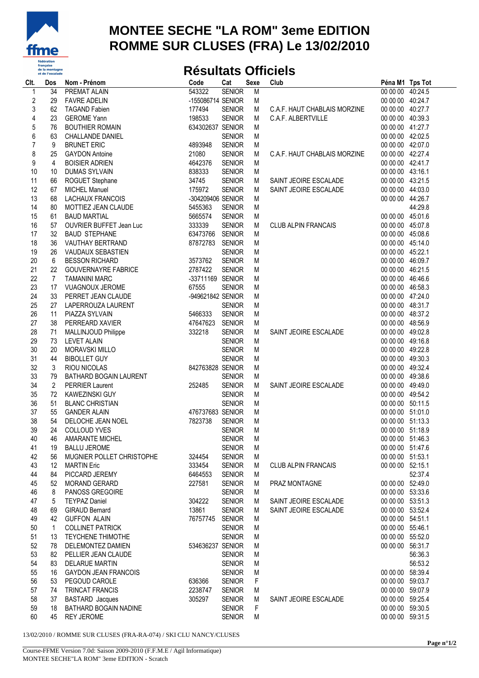

## **MONTEE SECHE "LA ROM" 3eme EDITION** ROMME SUR CLUSES (FRA) Le 13/02/2010

## **Résultats Officiels**

| Clt.             | Dos             | Nom - Prénom                | Code              | Cat           | Sexe           | Club                         | Péna M1 Tps Tot  |         |
|------------------|-----------------|-----------------------------|-------------------|---------------|----------------|------------------------------|------------------|---------|
| 1                | $\overline{34}$ | <b>PREMAT ALAIN</b>         | 543322            | <b>SENIOR</b> | $\overline{M}$ |                              | 00 00 00 40:24.5 |         |
| $\boldsymbol{2}$ | 29              | <b>FAVRE ADELIN</b>         | -155086714 SENIOR |               | M              |                              | 00 00 00 40:24.7 |         |
| 3                | 62              | <b>TAGAND Fabien</b>        | 177494            | <b>SENIOR</b> | М              | C.A.F. HAUT CHABLAIS MORZINE | 00 00 00 40:27.7 |         |
| 4                | 23              | <b>GEROME Yann</b>          | 198533            | <b>SENIOR</b> | M              | C.A.F. ALBERTVILLE           | 00 00 00 40:39.3 |         |
| $\sqrt{5}$       | 76              | <b>BOUTHIER ROMAIN</b>      | 634302637 SENIOR  |               | М              |                              | 00 00 00 41:27.7 |         |
| $\boldsymbol{6}$ | 63              | <b>CHALLANDE DANIEL</b>     |                   | <b>SENIOR</b> | M              |                              | 00 00 00 42:02.5 |         |
| $\overline{7}$   | 9               | <b>BRUNET ERIC</b>          | 4893948           | <b>SENIOR</b> | M              |                              | 00 00 00 42:07.0 |         |
| 8                | 25              | <b>GAYDON Antoine</b>       | 21080             | <b>SENIOR</b> | М              | C.A.F. HAUT CHABLAIS MORZINE | 00 00 00 42:27.4 |         |
| 9                | 4               | <b>BOISIER ADRIEN</b>       | 4642376           | <b>SENIOR</b> | M              |                              | 00 00 00 42:41.7 |         |
| 10               | 10              | <b>DUMAS SYLVAIN</b>        | 838333            | <b>SENIOR</b> | M              |                              | 00 00 00 43:16.1 |         |
| 11               | 66              | ROGUET Stephane             | 34745             | <b>SENIOR</b> | М              | SAINT JEOIRE ESCALADE        | 00 00 00 43:21.5 |         |
| 12               |                 |                             | 175972            | <b>SENIOR</b> | M              | SAINT JEOIRE ESCALADE        | 00 00 00 44:03.0 |         |
| 13               | 67<br>68        | <b>MICHEL Manuel</b>        | -304209406 SENIOR |               | M              |                              | 00 00 00 44:26.7 |         |
|                  |                 | LACHAUX FRANCOIS            |                   |               |                |                              |                  |         |
| 14               | 80              | MOTTIEZ JEAN CLAUDE         | 5455363           | <b>SENIOR</b> | M              |                              |                  | 44:29.8 |
| 15               | 61              | <b>BAUD MARTIAL</b>         | 5665574           | <b>SENIOR</b> | М              |                              | 00 00 00 45:01.6 |         |
| 16               | 57              | OUVRIER BUFFET Jean Luc     | 333339            | <b>SENIOR</b> | M              | <b>CLUB ALPIN FRANCAIS</b>   | 00 00 00 45:07.8 |         |
| 17               | 32              | <b>BAUD STEPHANE</b>        | 63473766 SENIOR   |               | M              |                              | 00 00 00 45:08.6 |         |
| 18               | 36              | VAUTHAY BERTRAND            | 87872783 SENIOR   |               | M              |                              | 00 00 00 45:14.0 |         |
| 19               | 26              | VAUDAUX SEBASTIEN           |                   | <b>SENIOR</b> | M              |                              | 00 00 00 45:22.1 |         |
| 20               | 6               | <b>BESSON RICHARD</b>       | 3573762           | <b>SENIOR</b> | M              |                              | 00 00 00 46:09.7 |         |
| 21               | 22              | <b>GOUVERNAYRE FABRICE</b>  | 2787422           | <b>SENIOR</b> | M              |                              | 00 00 00 46:21.5 |         |
| 22               | 7               | <b>TAMANINI MARC</b>        | -33711169 SENIOR  |               | M              |                              | 00 00 00 46:46.6 |         |
| 23               | 17              | <b>VUAGNOUX JEROME</b>      | 67555             | <b>SENIOR</b> | M              |                              | 00 00 00 46:58.3 |         |
| 24               | 33              | PERRET JEAN CLAUDE          | -949621842 SENIOR |               | M              |                              | 00 00 00 47:24.0 |         |
| 25               | 27              | LAPERROUZA LAURENT          |                   | <b>SENIOR</b> | M              |                              | 00 00 00 48:31.7 |         |
| 26               | 11              | PIAZZA SYLVAIN              | 5466333           | <b>SENIOR</b> | M              |                              | 00 00 00 48:37.2 |         |
| 27               | 38              | PERREARD XAVIER             | 47647623 SENIOR   |               | М              |                              | 00 00 00 48:56.9 |         |
| 28               | 71              | MALLINJOUD Philippe         | 332218            | <b>SENIOR</b> | М              | SAINT JEOIRE ESCALADE        | 00 00 00 49:02.8 |         |
| 29               | 73              | <b>LEVET ALAIN</b>          |                   | <b>SENIOR</b> | M              |                              | 00 00 00 49:16.8 |         |
| 30               | 20              | <b>MORAVSKI MILLO</b>       |                   | <b>SENIOR</b> | M              |                              | 00 00 00 49:22.8 |         |
| 31               | 44              | <b>BIBOLLET GUY</b>         |                   | <b>SENIOR</b> | M              |                              | 00 00 00 49:30.3 |         |
| 32               | 3               | <b>RIOU NICOLAS</b>         | 842763828 SENIOR  |               | M              |                              | 00 00 00 49:32.4 |         |
| 33               | 79              | BATHARD BOGAIN LAURENT      |                   | <b>SENIOR</b> | M              |                              | 00 00 00 49:38.6 |         |
| 34               | $\overline{2}$  | <b>PERRIER Laurent</b>      | 252485            | <b>SENIOR</b> | M              | SAINT JEOIRE ESCALADE        | 00 00 00 49:49.0 |         |
| 35               | 72              | KAWEZINSKI GUY              |                   | <b>SENIOR</b> | M              |                              | 00 00 00 49:54.2 |         |
| 36               | 51              | <b>BLANC CHRISTIAN</b>      |                   | <b>SENIOR</b> | M              |                              | 00 00 00 50:11.5 |         |
| 37               | 55              | <b>GANDER ALAIN</b>         | 476737683 SENIOR  |               | M              |                              | 00 00 00 51:01.0 |         |
|                  | 54              |                             | 7823738           |               | M              |                              | 00 00 00 51:13.3 |         |
| 38<br>39         | 24              | DELOCHE JEAN NOEL           |                   | <b>SENIOR</b> | M              |                              | 00 00 00 51:18.9 |         |
|                  |                 | <b>COLLOUD YVES</b>         |                   | <b>SENIOR</b> |                |                              |                  |         |
| 40               | 46              | <b>AMARANTE MICHEL</b>      |                   | <b>SENIOR</b> | M              |                              | 00 00 00 51:46.3 |         |
| 41               | 19              | <b>BALLU JEROME</b>         |                   | <b>SENIOR</b> | M              |                              | 00 00 00 51:47.6 |         |
| 42               | 56              | MUGNIER POLLET CHRISTOPHE   | 324454            | <b>SENIOR</b> | M              |                              | 00 00 00 51:53.1 |         |
| 43               | 12              | <b>MARTIN Eric</b>          | 333454            | <b>SENIOR</b> | M              | CLUB ALPIN FRANCAIS          | 00 00 00 52:15.1 |         |
| 44               | 84              | PICCARD JEREMY              | 6464553           | <b>SENIOR</b> | M              |                              |                  | 52:37.4 |
| 45               | 52              | MORAND GERARD               | 227581            | <b>SENIOR</b> | M              | PRAZ MONTAGNE                | 00 00 00 52:49.0 |         |
| 46               | 8               | PANOSS GREGOIRE             |                   | <b>SENIOR</b> | M              |                              | 00 00 00 53:33.6 |         |
| 47               | 5               | <b>TEYPAZ Daniel</b>        | 304222            | <b>SENIOR</b> | M              | SAINT JEOIRE ESCALADE        | 00 00 00 53:51.3 |         |
| 48               | 69              | <b>GIRAUD Bernard</b>       | 13861             | <b>SENIOR</b> | M              | SAINT JEOIRE ESCALADE        | 00 00 00 53:52.4 |         |
| 49               | 42              | <b>GUFFON ALAIN</b>         | 76757745 SENIOR   |               | М              |                              | 00 00 00 54:51.1 |         |
| 50               | $\mathbf{1}$    | <b>COLLINET PATRICK</b>     |                   | <b>SENIOR</b> | M              |                              | 00 00 00 55:46.1 |         |
| 51               | 13              | <b>TEYCHENE THIMOTHE</b>    |                   | <b>SENIOR</b> | M              |                              | 00 00 00 55:52.0 |         |
| 52               | 78              | DELEMONTEZ DAMIEN           | 534636237 SENIOR  |               | M              |                              | 00 00 00 56:31.7 |         |
| 53               | 82              | PELLIER JEAN CLAUDE         |                   | <b>SENIOR</b> | M              |                              |                  | 56:36.3 |
| 54               | 83              | <b>DELARUE MARTIN</b>       |                   | <b>SENIOR</b> | М              |                              |                  | 56:53.2 |
| 55               | 16              | <b>GAYDON JEAN FRANCOIS</b> |                   | <b>SENIOR</b> | M              |                              | 00 00 00 58:39.4 |         |
| 56               | 53              | PEGOUD CAROLE               | 636366            | <b>SENIOR</b> | F              |                              | 00 00 00 59:03.7 |         |
| 57               | 74              | TRINCAT FRANCIS             | 2238747           | <b>SENIOR</b> | M              |                              | 00 00 00 59:07.9 |         |
| 58               | 37              | <b>BASTARD</b> Jacques      | 305297            | <b>SENIOR</b> | M              | SAINT JEOIRE ESCALADE        | 00 00 00 59:25.4 |         |
| 59               | 18              | BATHARD BOGAIN NADINE       |                   | <b>SENIOR</b> | F              |                              | 00 00 00 59:30.5 |         |
| 60               | 45              | <b>REY JEROME</b>           |                   | <b>SENIOR</b> | M              |                              | 00 00 00 59:31.5 |         |
|                  |                 |                             |                   |               |                |                              |                  |         |

13/02/2010 / ROMME SUR CLUSES (FRA-RA-074) / SKI CLU NANCY/CLUSES